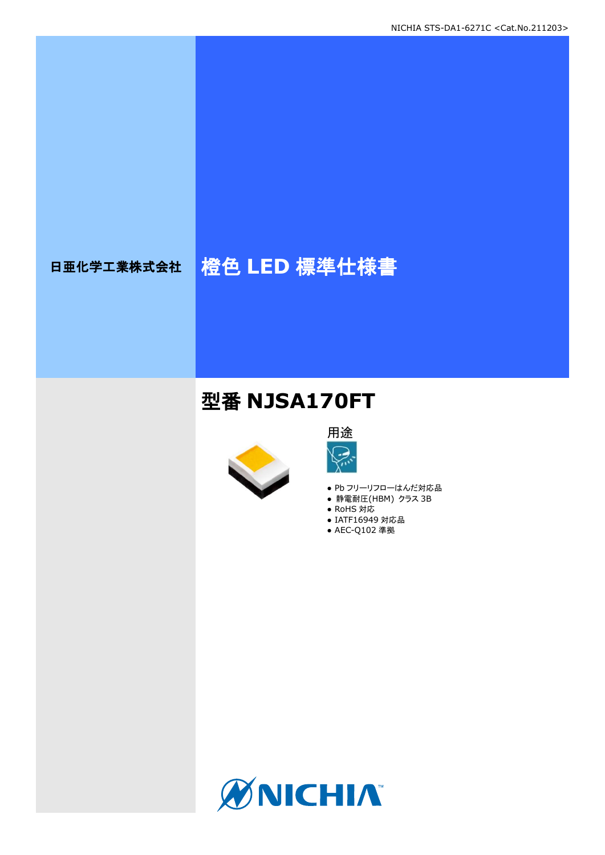# 日亜化学工業株式会社 格色 LED 標準仕様書

## 型番 **NJSA170FT**





- Pb フリーリフローはんだ対応品
- **静電耐圧(HBM) クラス 3B**
- RoHS 対応
- IATF16949 対応品
- AEC-Q102 準拠

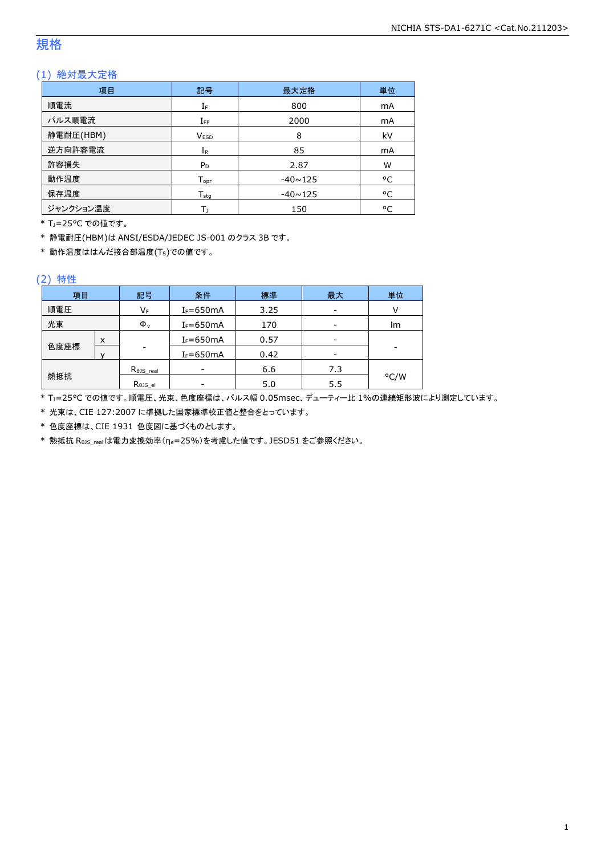### 規格

### (1) 絶対最大定格

| 項目        | 記号                         | 最大定格           | 単位        |
|-----------|----------------------------|----------------|-----------|
| 順電流       | IF                         | 800            | mA        |
| パルス順電流    | $I_{FP}$                   | 2000           | mA        |
| 静電耐圧(HBM) | <b>VESD</b>                | 8              | kV        |
| 逆方向許容電流   | $I_{R}$                    | 85             | <b>mA</b> |
| 許容損失      | $P_D$                      | 2.87           | W         |
| 動作温度      | $T_{\text{opt}}$           | $-40 \sim 125$ | °C        |
| 保存温度      | ${\mathsf T}_{\text{sta}}$ | $-40 \sim 125$ | °C        |
| ジャンクション温度 | Т١                         | 150            | °C        |

\* TJ=25°C での値です。

\* 静電耐圧(HBM)は ANSI/ESDA/JEDEC JS-001 のクラス 3B です。

\* 動作温度ははんだ接合部温度(TS)での値です。

#### (2) 特性

| 項目   |   | 記号                   | 条件            | 標準   | 最大  | 単位   |
|------|---|----------------------|---------------|------|-----|------|
| 順電圧  |   | VF                   | $I_F = 650mA$ | 3.25 |     |      |
| 光束   |   | $\Phi_{\rm v}$       | $I_F = 650mA$ | 170  |     | lm   |
|      | X |                      | $I_F = 650mA$ | 0.57 |     |      |
| 色度座標 |   | ۰                    | $I_F = 650mA$ | 0.42 |     | -    |
|      |   | $R_{\theta}$ JS_real |               | 6.6  | 7.3 |      |
| 熱抵抗  |   | Rejs el              |               | 5.0  | 5.5 | °C/W |

\* TJ=25°C での値です。順電圧、光束、色度座標は、パルス幅 0.05msec、デューティー比 1%の連続矩形波により測定しています。

\* 光束は、CIE 127:2007 に準拠した国家標準校正値と整合をとっています。

\* 色度座標は、CIE 1931 色度図に基づくものとします。

\* 熱抵抗 RθJS\_realは電力変換効率(ηe=25%)を考慮した値です。JESD51 をご参照ください。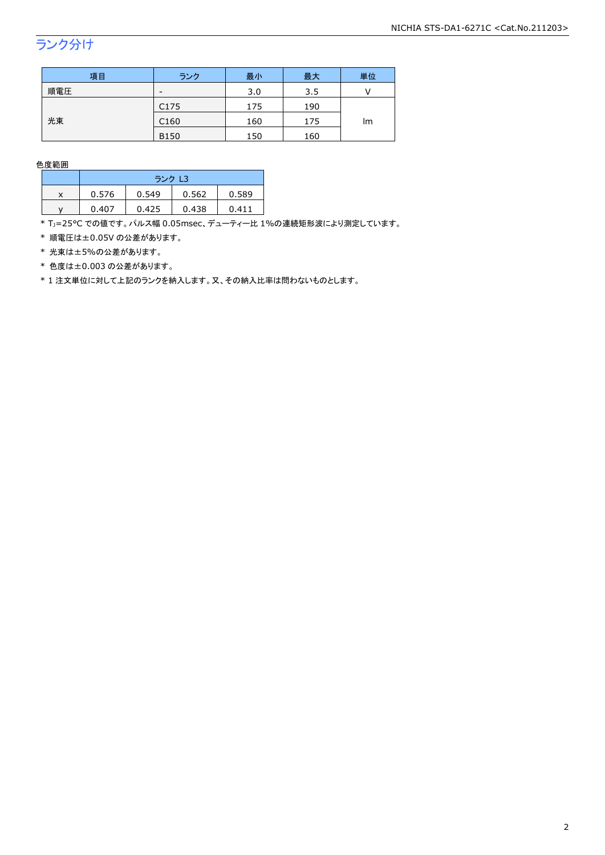## ランク分け

| 項目  | ランク              | 最小  | 最大  | 単位 |
|-----|------------------|-----|-----|----|
| 順電圧 | -                | 3.0 | 3.5 |    |
|     | C <sub>175</sub> | 175 | 190 |    |
| 光束  | C <sub>160</sub> | 160 | 175 | lm |
|     | <b>B150</b>      | 150 | 160 |    |

色度範囲

|   | ランク L3 |       |       |       |  |
|---|--------|-------|-------|-------|--|
| x | 0.576  | 0.549 | 0.562 | 0.589 |  |
|   | 0.407  | 0.425 | 0.438 | 0411  |  |

\* Tj=25°C での値です。パルス幅 0.05msec、デューティー比 1%の連続矩形波により測定しています。

\* 順電圧は±0.05V の公差があります。

\* 光束は±5%の公差があります。

\* 色度は±0.003 の公差があります。

\* 1 注文単位に対して上記のランクを納入します。又、その納入比率は問わないものとします。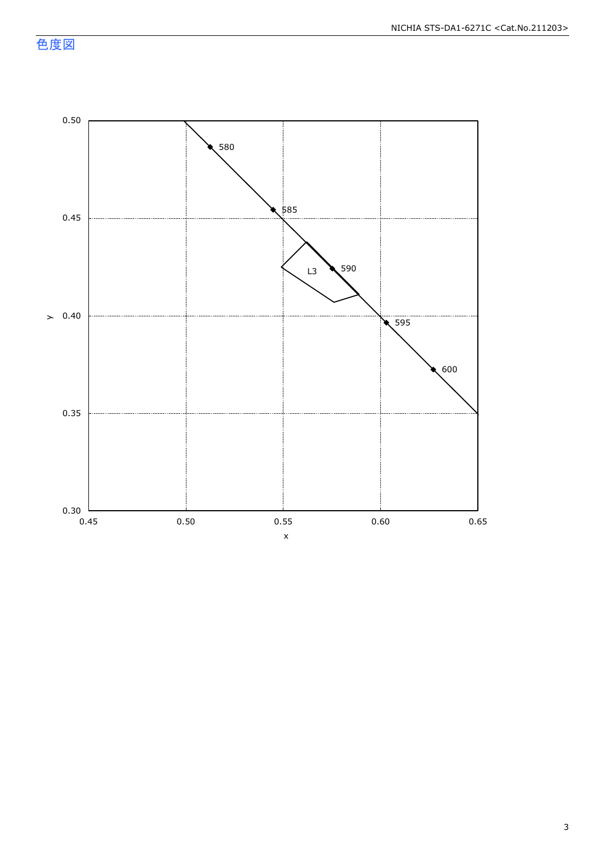色度図

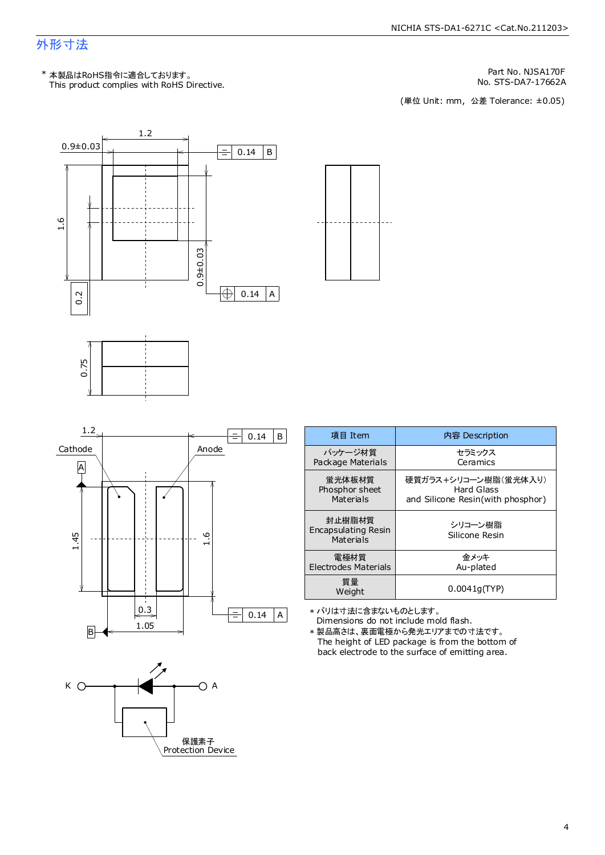### 外形寸法

Part No. NJSA170F

No. STS-DA7-17662A<br>(単位 Unit: mm, 公差 Tolerance: ±0.05)











Dimensions do not include mold flash. \* バリは寸法に含まないものとします。

The height of LED package is from the bottom of back electrode to the surface of emitting area. \* 製品高さは、裏面電極から発光エリアまでの寸法です。

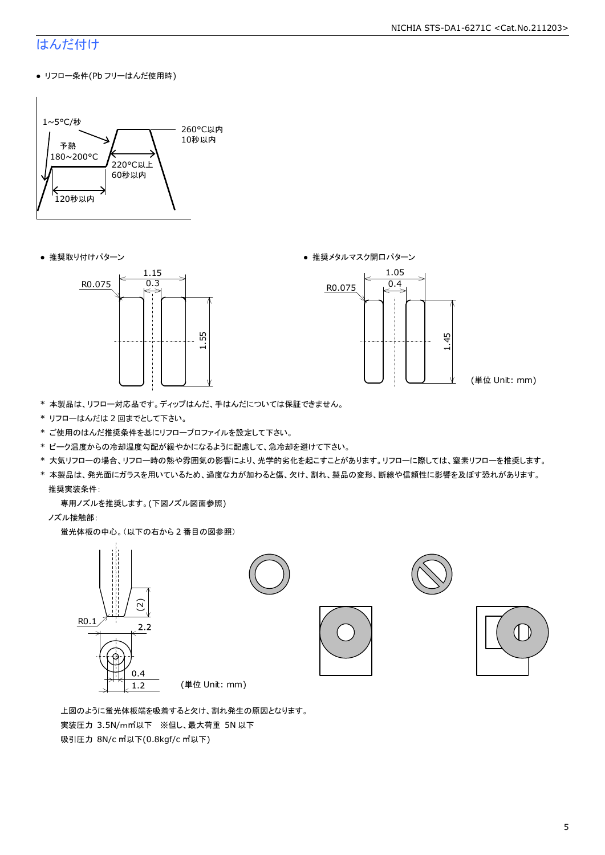#### NICHIA STS-DA1-6271C <Cat.No.211203>

### はんだ付け

● リフロー条件(Pb フリーはんだ使用時)



● 推奨取り付けパターン ろんじょう しょうしゃ ゆうしゃ ウィック あんきょう きょうかん きゅうしょく 推奨メタルマスク開口パターン





(単位 Unit: mm)

- \* 本製品は、リフロー対応品です。ディップはんだ、手はんだについては保証できません。
- \* リフローはんだは 2 回までとして下さい。
- \* ご使用のはんだ推奨条件を基にリフロープロファイルを設定して下さい。
- \* ピーク温度からの冷却温度勾配が緩やかになるように配慮して、急冷却を避けて下さい。
- \* 大気リフローの場合、リフロー時の熱や雰囲気の影響により、光学的劣化を起こすことがあります。リフローに際しては、窒素リフローを推奨します。
- \* 本製品は、発光面にガラスを用いているため、過度な力が加わると傷、欠け、割れ、製品の変形、断線や信頼性に影響を及ぼす恐れがあります。 推奨実装条件:

専用ノズルを推奨します。(下図ノズル図面参照)

ノズル接触部:

蛍光体板の中心。(以下の右から 2 番目の図参照)



 上図のように蛍光体板端を吸着すると欠け、割れ発生の原因となります。 実装圧力 3.5N/m㎡以下 ※但し、最大荷重 5N 以下 吸引圧力 8N/c ㎡以下(0.8kgf/c ㎡以下)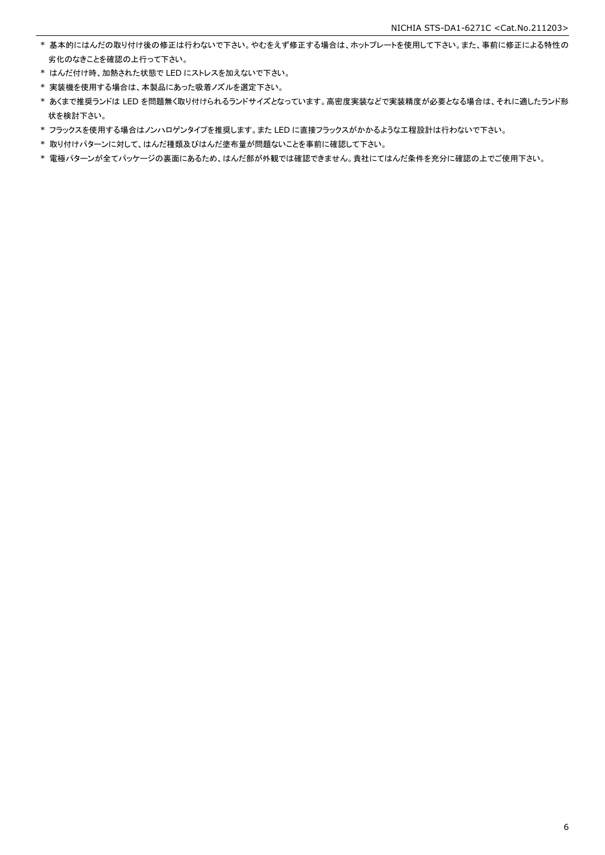- \* 基本的にはんだの取り付け後の修正は行わないで下さい。やむをえず修正する場合は、ホットプレートを使用して下さい。また、事前に修正による特性の 劣化のなきことを確認の上行って下さい。
- \* はんだ付け時、加熱された状態で LED にストレスを加えないで下さい。
- \* 実装機を使用する場合は、本製品にあった吸着ノズルを選定下さい。
- \* あくまで推奨ランドは LED を問題無く取り付けられるランドサイズとなっています。高密度実装などで実装精度が必要となる場合は、それに適したランド形 状を検討下さい。
- \* フラックスを使用する場合はノンハロゲンタイプを推奨します。また LED に直接フラックスがかかるような工程設計は行わないで下さい。
- \* 取り付けパターンに対して、はんだ種類及びはんだ塗布量が問題ないことを事前に確認して下さい。
- \* 電極パターンが全てパッケージの裏面にあるため、はんだ部が外観では確認できません。貴社にてはんだ条件を充分に確認の上でご使用下さい。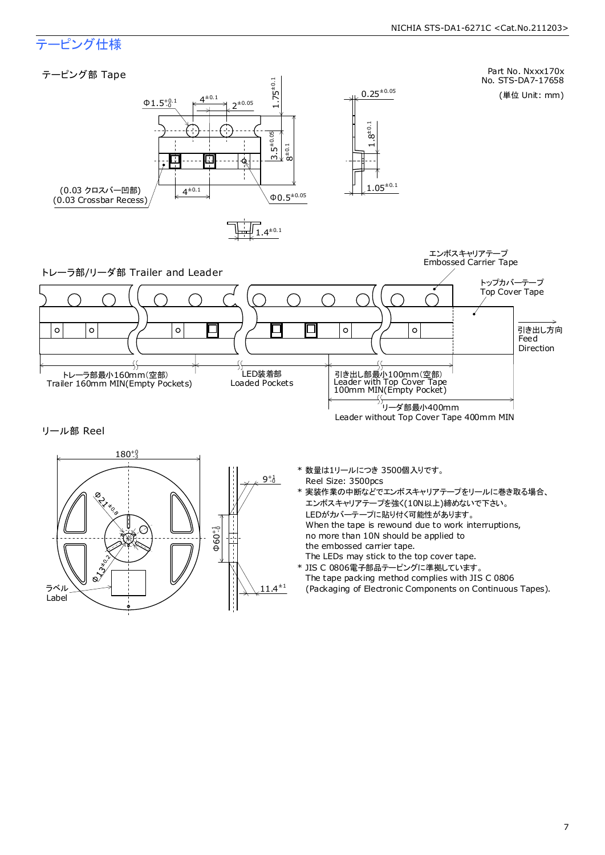### テーピング仕様

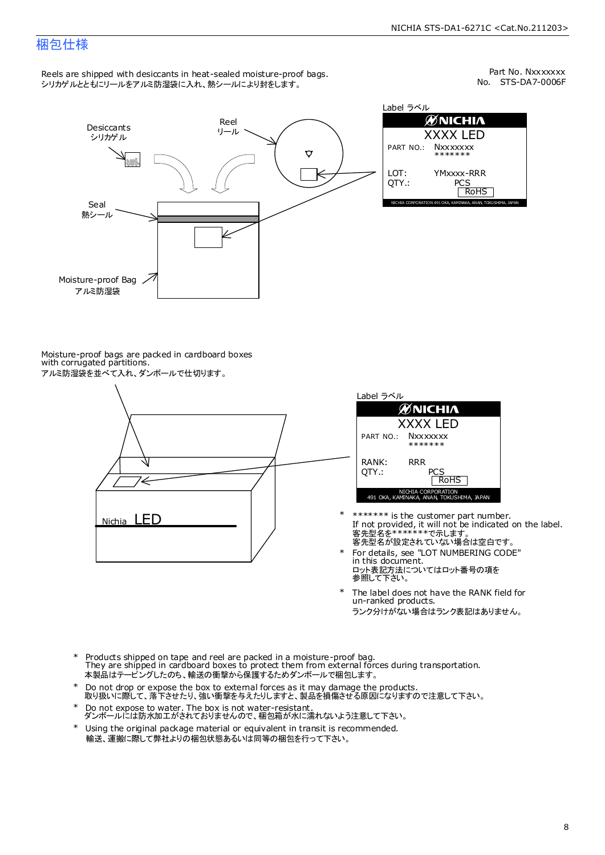### 梱包仕様

Reels are shipped with desiccants in heat-sealed moisture-proof bags. シリカゲルとともにリールをアルミ防湿袋に入れ、熱シールにより封をします。

No. STS-DA7-0006F Part No. Nxxxxxxx



| Label ラベル     |                                                              |  |  |  |  |
|---------------|--------------------------------------------------------------|--|--|--|--|
|               | <b>ØNICHIA</b>                                               |  |  |  |  |
| XXXX LED      |                                                              |  |  |  |  |
|               | PART NO.: NXXXXXXX<br>*******                                |  |  |  |  |
| LOT:<br>OTY.: | YMxxxx-RRR<br>PCS<br><b>RoHS</b>                             |  |  |  |  |
|               | NICHIA CORPORATION 491 OKA, KAMINAKA, ANAN, TOKUSHIMA, JAPAN |  |  |  |  |

Moisture-proof bags are packed in cardboard boxes with corrugated partitions. アルミ防湿袋を並べて入れ、ダンボールで仕切ります。





- 客先型名を\*\*\*\*\*\*\*\*で示します。<br>客先型名が設定されていない場合は空白です。 If not provided, it will not be indicated on the label. \*\*\*\*\*\*\* is the customer part number.
- For details, see "LOT NUMBERING CODE" in this document. ロット表記方法についてはロット番号の項を<br>参照して下さい。 \*
- The label does not have the RANK field for un-ranked products. ランク分けがない場合はランク表記はありません。 \*
- Products shipped on tape and reel are packed in a moisture-proof bag. They are shipped in cardboard boxes to protect them from external forces during transportation. 本製品はテーピングしたのち、輸送の衝撃から保護するためダンボールで梱包します。 \*
- Do not drop or expose the box to external forces as it may damage the products. 取り扱いに際して、落下させたり、強い衝撃を与えたりしますと、製品を損傷させる原因になりますので注意して下さい。 \*
- Do not expose to water. The box is not water-resistant. ダンボールには防水加工がされておりませんので、梱包箱が水に濡れないよう注意して下さい。 \*
- \* Using the original package material or equivalent in transit is recommended. 輸送、運搬に際して弊社よりの梱包状態あるいは同等の梱包を行って下さい。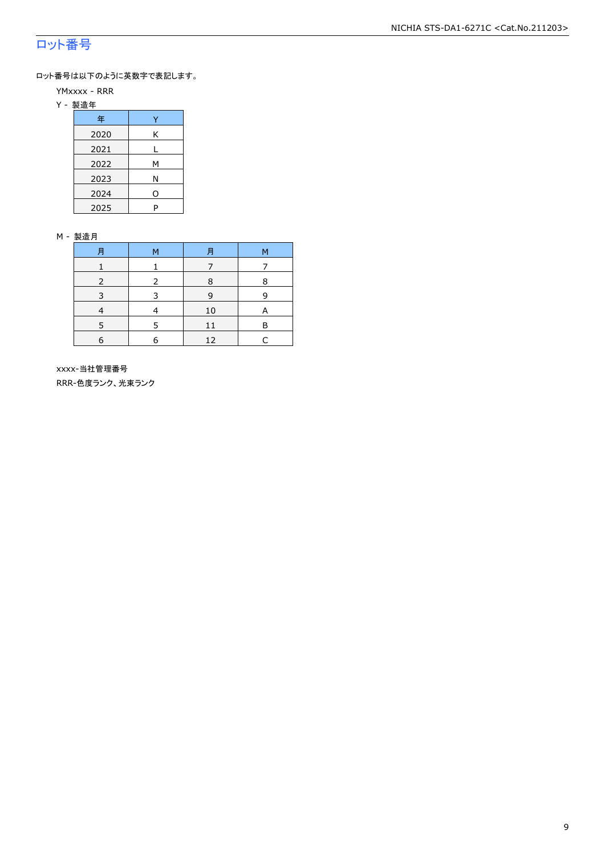### ロット番号

ロット番号は以下のように英数字で表記します。

#### YMxxxx - RRR

Y - 製造年

| 年    |   |
|------|---|
| 2020 | Κ |
| 2021 |   |
| 2022 | м |
| 2023 | Ν |
| 2024 | O |
| 2025 | P |

#### M - 製造月

| 月 | м | 月  | м |
|---|---|----|---|
|   |   |    |   |
|   |   | 8  | 8 |
| ₹ |   | 9  | q |
|   |   | 10 |   |
|   |   | 11 | R |
| 6 |   | 12 | L |

 xxxx-当社管理番号 RRR-色度ランク、光束ランク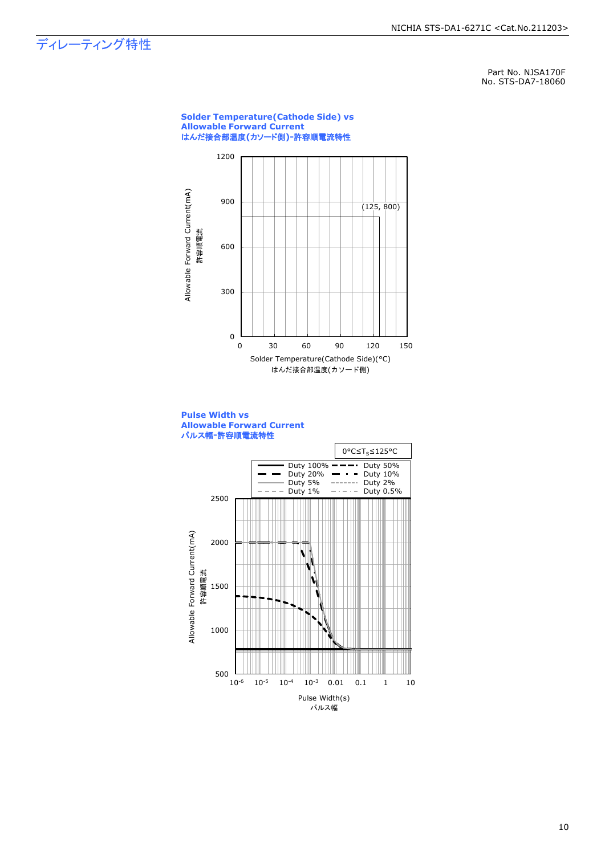ディレーティング特性

Part No. NJSA170F No. STS-DA7-18060

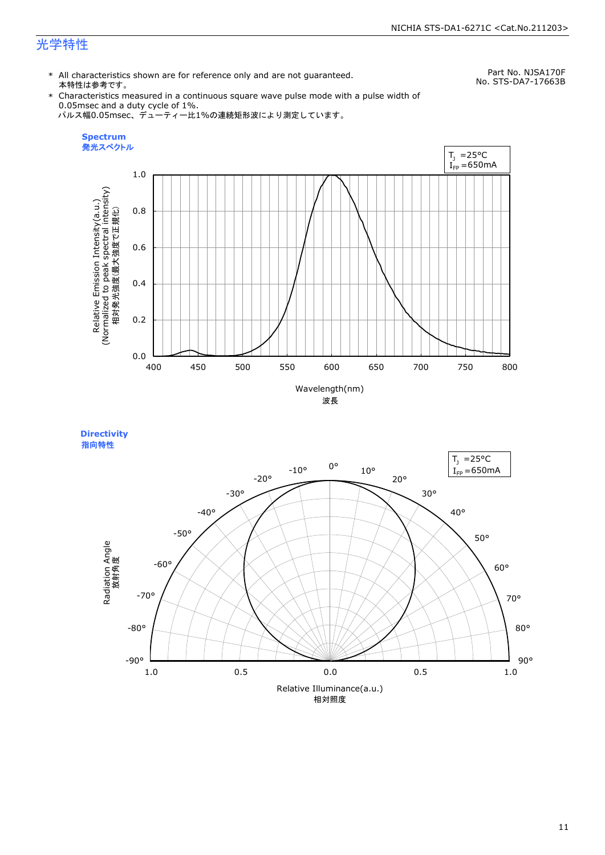### 光学特性

\* All characteristics shown are for reference only and are not guaranteed. 本特性は参考です。

Part No. NJSA170F No. STS-DA7-17663B

\* Characteristics measured in a continuous square wave pulse mode with a pulse width of 0.05msec and a duty cycle of 1%. パルス幅0.05msec、デューティー比1%の連続矩形波により測定しています。



**Directivity**  指向特性

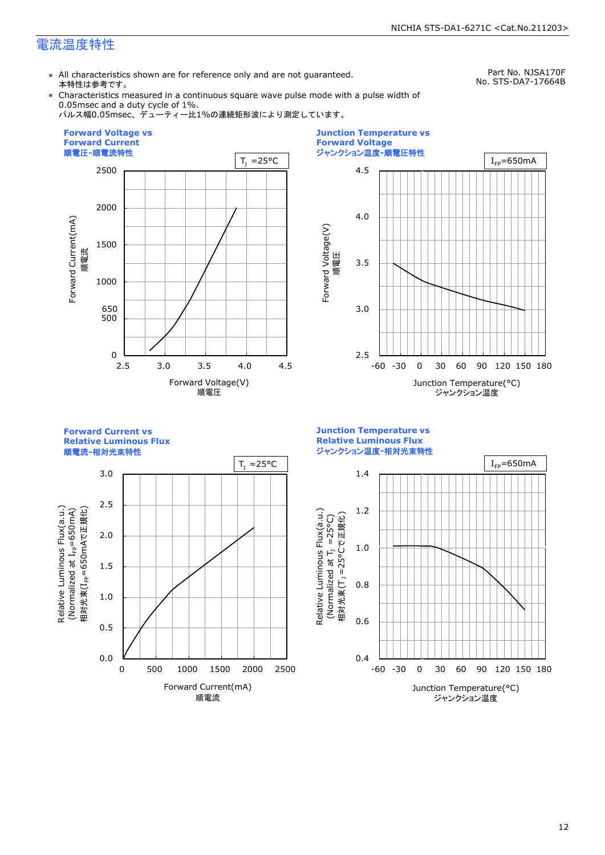### 電流温度特性

\* All characteristics shown are for reference only and are not guaranteed. 本特性は参考です。

Part No. NJSA170F No. STS-DA7-17664B

\* Characteristics measured in a continuous square wave pulse mode with a pulse width of 0.05msec and a duty cycle of 1%.

パルス幅0.05msec、デューティー比1%の連続矩形波により測定しています。





**Forward Current vs Relative Luminous Flux**

順電流**-**相対光束特性



**Junction Temperature vs Relative Luminous Flux** ジャンクション温度**-**相対光束特性

Relative Luminous Flux(a.u.)

Relative Luminous Flux(a.u.)

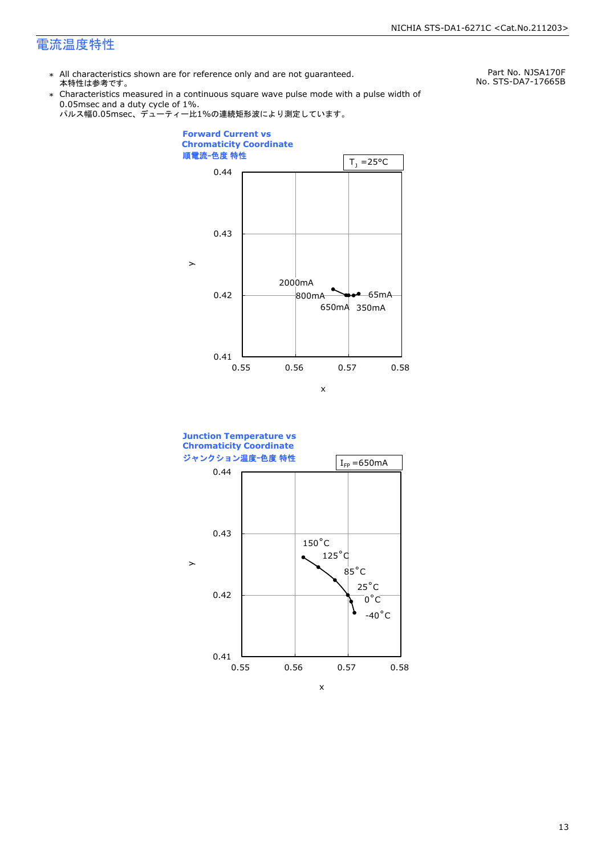### 電流温度特性

\* All characteristics shown are for reference only and are not guaranteed. 本特性は参考です。

Part No. NJSA170F No. STS-DA7-17665B

\* Characteristics measured in a continuous square wave pulse mode with a pulse width of 0.05msec and a duty cycle of 1%.





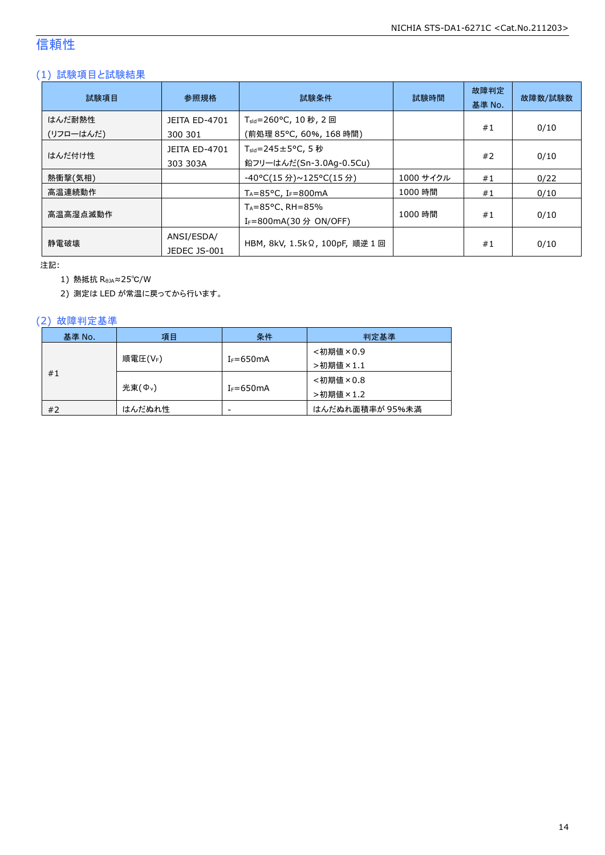### 信頼性

### (1) 試験項目と試験結果

| 試験項目                | 参照規格                             | 試験条件                                                                    | 試験時間      | 故障判定<br>基準 No. | 故障数/試験数 |
|---------------------|----------------------------------|-------------------------------------------------------------------------|-----------|----------------|---------|
| はんだ耐熱性<br>(リフローはんだ) | <b>JEITA ED-4701</b><br>300 301  | T <sub>sld</sub> =260°C, 10 秒, 2 回<br>(前処理 85℃, 60%, 168 時間)            |           | #1             | 0/10    |
| はんだ付け性              | <b>JEITA ED-4701</b><br>303 303A | $T_{\text{std}} = 245 \pm 5^{\circ}$ C, 5 秒<br>鉛フリーはんだ(Sn-3.0Ag-0.5Cu)  |           | #2             | 0/10    |
| 熱衝撃(気相)             |                                  | -40°C(15 分)~125°C(15 分)                                                 | 1000 サイクル | #1             | 0/22    |
| 高温連続動作              |                                  | $T_A = 85^{\circ}$ C, I <sub>F</sub> =800mA                             | 1000 時間   | #1             | 0/10    |
| 高温高湿点滅動作            |                                  | $T_A = 85^{\circ}$ C, RH $= 85\%$<br>I <sub>F</sub> =800mA(30 分 ON/OFF) | 1000 時間   | #1             | 0/10    |
| 静電破壊                | ANSI/ESDA/<br>JEDEC JS-001       | HBM, 8kV, 1.5kΩ, 100pF, 順逆 1 回                                          |           | #1             | 0/10    |

注記:

1) 熱抵抗 RθJA≈25℃/W

2) 測定は LED が常温に戻ってから行います。

### (2) 故障判定基準

| 基準 No.                              | 項目     | 条件            | 判定基準            |
|-------------------------------------|--------|---------------|-----------------|
|                                     |        |               | <初期値×0.9        |
| 順電圧(VF)<br>#1<br>光束( $\Phi_{\nu}$ ) |        | $I_F = 650mA$ | >初期値×1.1        |
|                                     |        |               | <初期値×0.8        |
|                                     |        | $I_F = 650mA$ | >初期値×1.2        |
| #2                                  | はんだぬれ性 | -             | はんだぬれ面積率が 95%未満 |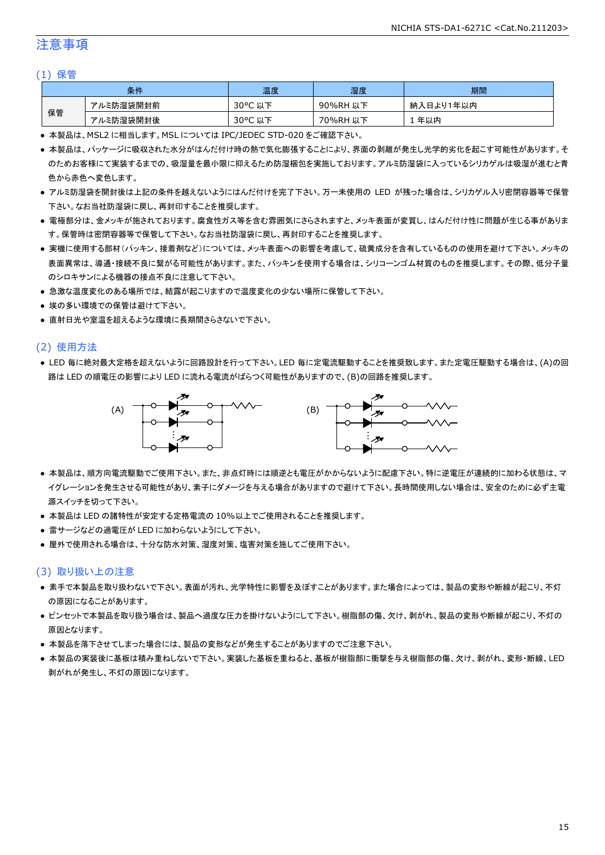### 注意事項

#### (1) 保管

|    | 条件        | 温度                                    | 湿度       | 期間        |
|----|-----------|---------------------------------------|----------|-----------|
|    | アルミ防湿袋開封前 | $30^{\circ}$ C<br><del>ג</del> ו<br>以 | 90%RH 以下 | 納入日より1年以内 |
| 保管 | アルミ防湿袋開封後 | $30^{\circ}$ C<br>以下                  | 70%RH 以下 | 年以内       |

● 本製品は、MSL2 に相当します。MSL については IPC/JEDEC STD-020 をご確認下さい。

- 本製品は、パッケージに吸収された水分がはんだ付け時の熱で気化膨張することにより、界面の剥離が発生し光学的劣化を起こす可能性があります。そ のためお客様にて実装するまでの、吸湿量を最小限に抑えるため防湿梱包を実施しております。アルミ防湿袋に入っているシリカゲルは吸湿が進むと青 色から赤色へ変色します。
- アルミ防湿袋を開封後は上記の条件を越えないようにはんだ付けを完了下さい。万一未使用の LED が残った場合は、シリカゲル入り密閉容器等で保管 下さい。なお当社防湿袋に戻し、再封印することを推奨します。
- 電極部分は、金メッキが施されております。腐食性ガス等を含む雰囲気にさらされますと、メッキ表面が変質し、はんだ付け性に問題が生じる事がありま す。保管時は密閉容器等で保管して下さい。なお当社防湿袋に戻し、再封印することを推奨します。
- 実機に使用する部材(パッキン、接着剤など)については、メッキ表面への影響を考慮して、硫黄成分を含有しているものの使用を避けて下さい。メッキの 表面異常は、導通・接続不良に繋がる可能性があります。また、パッキンを使用する場合は、シリコーンゴム材質のものを推奨します。その際、低分子量 のシロキサンによる機器の接点不良に注意して下さい。
- 急激な温度変化のある場所では、結露が起こりますので温度変化の少ない場所に保管して下さい。
- 埃の多い環境での保管は避けて下さい。
- 直射日光や室温を超えるような環境に長期間さらさないで下さい。

#### (2) 使用方法

● LED 毎に絶対最大定格を超えないように回路設計を行って下さい。LED 毎に定電流駆動することを推奨致します。また定電圧駆動する場合は、(A)の回 路は LED の順電圧の影響により LED に流れる電流がばらつく可能性がありますので、(B)の回路を推奨します。



- 本製品は、順方向電流駆動でご使用下さい。また、非点灯時には順逆とも電圧がかからないように配慮下さい。特に逆電圧が連続的に加わる状態は、マ イグレーションを発生させる可能性があり、素子にダメージを与える場合がありますので避けて下さい。長時間使用しない場合は、安全のために必ず主電 源スイッチを切って下さい。
- 本製品は LED の諸特性が安定する定格電流の 10%以上でご使用されることを推奨します。
- 雷サージなどの過電圧が LED に加わらないようにして下さい。
- 屋外で使用される場合は、十分な防水対策、湿度対策、塩害対策を施してご使用下さい。

#### (3) 取り扱い上の注意

- 素手で本製品を取り扱わないで下さい。表面が汚れ、光学特性に影響を及ぼすことがあります。また場合によっては、製品の変形や断線が起こり、不灯 の原因になることがあります。
- ピンセットで本製品を取り扱う場合は、製品へ過度な圧力を掛けないようにして下さい。樹脂部の傷、欠け、剥がれ、製品の変形や断線が起こり、不灯の 原因となります。
- 本製品を落下させてしまった場合には、製品の変形などが発生することがありますのでご注意下さい。
- 本製品の実装後に基板は積み重ねしないで下さい。実装した基板を重ねると、基板が樹脂部に衝撃を与え樹脂部の傷、欠け、剥がれ、変形・断線、LED 剥がれが発生し、不灯の原因になります。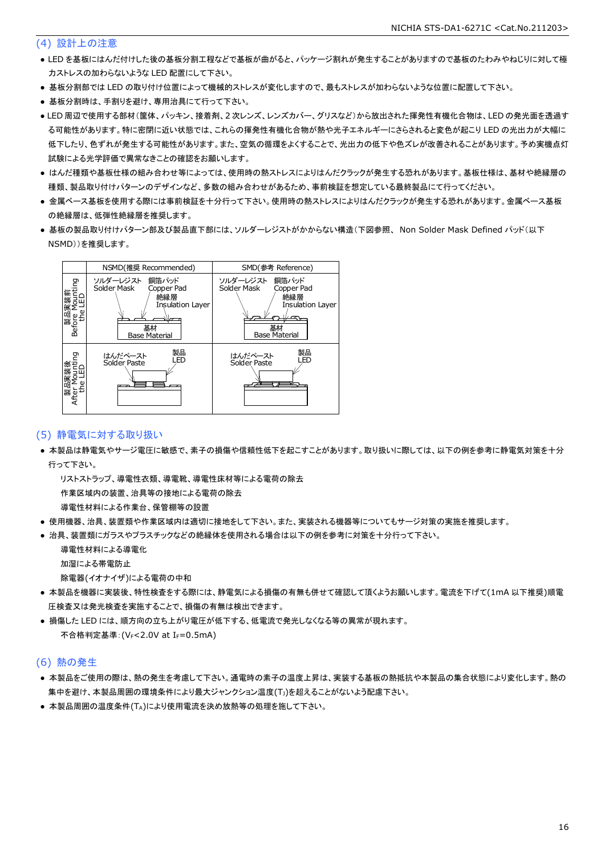### (4) 設計上の注意

- LED を基板にはんだ付けした後の基板分割工程などで基板が曲がると、パッケージ割れが発生することがありますので基板のたわみやねじりに対して極 力ストレスの加わらないような LED 配置にして下さい。
- 基板分割部では LED の取り付け位置によって機械的ストレスが変化しますので、最もストレスが加わらないような位置に配置して下さい。
- 基板分割時は、手割りを避け、専用治具にて行って下さい。
- LED 周辺で使用する部材(筐体、パッキン、接着剤、2 次レンズ、レンズカバー、グリスなど)から放出された揮発性有機化合物は、LED の発光面を透過す る可能性があります。特に密閉に近い状態では、これらの揮発性有機化合物が熱や光子エネルギーにさらされると変色が起こり LED の光出力が大幅に 低下したり、色ずれが発生する可能性があります。また、空気の循環をよくすることで、光出力の低下や色ズレが改善されることがあります。予め実機点灯 試験による光学評価で異常なきことの確認をお願いします。
- はんだ種類や基板仕様の組み合わせ等によっては、使用時の熱ストレスによりはんだクラックが発生する恐れがあります。基板仕様は、基材や絶縁層の 種類、製品取り付けパターンのデザインなど、多数の組み合わせがあるため、事前検証を想定している最終製品にて行ってください。
- 金属ベース基板を使用する際には事前検証を十分行って下さい。使用時の熱ストレスによりはんだクラックが発生する恐れがあります。金属ベース基板 の絶縁層は、低弾性絶縁層を推奨します。
- 基板の製品取り付けパターン部及び製品直下部には、ソルダーレジストがかからない構造(下図参照、 Non Solder Mask Defined パッド(以下 NSMD))を推奨します。



### (5) 静電気に対する取り扱い

● 本製品は静電気やサージ電圧に敏感で、素子の損傷や信頼性低下を起こすことがあります。取り扱いに際しては、以下の例を参考に静電気対策を十分 行って下さい。

 リストストラップ、導電性衣類、導電靴、導電性床材等による電荷の除去 作業区域内の装置、治具等の接地による電荷の除去

導電性材料による作業台、保管棚等の設置

- 使用機器、治具、装置類や作業区域内は適切に接地をして下さい。また、実装される機器等についてもサージ対策の実施を推奨します。
- 治具、装置類にガラスやプラスチックなどの絶縁体を使用される場合は以下の例を参考に対策を十分行って下さい。

 導電性材料による導電化 加湿による帯電防止

除電器(イオナイザ)による電荷の中和

- 本製品を機器に実装後、特性検査をする際には、静電気による損傷の有無も併せて確認して頂くようお願いします。電流を下げて(1mA 以下推奨)順電 圧検査又は発光検査を実施することで、損傷の有無は検出できます。
- 損傷した LED には、順方向の立ち上がり電圧が低下する、低電流で発光しなくなる等の異常が現れます。 不合格判定基準: (VF<2.0V at IF=0.5mA)

#### (6) 熱の発生

- 本製品をご使用の際は、熱の発生を考慮して下さい。通電時の素子の温度上昇は、実装する基板の熱抵抗や本製品の集合状態により変化します。熱の 集中を避け、本製品周囲の環境条件により最大ジャンクション温度(TJ)を超えることがないよう配慮下さい。
- 本製品周囲の温度条件(TA)により使用電流を決め放熱等の処理を施して下さい。